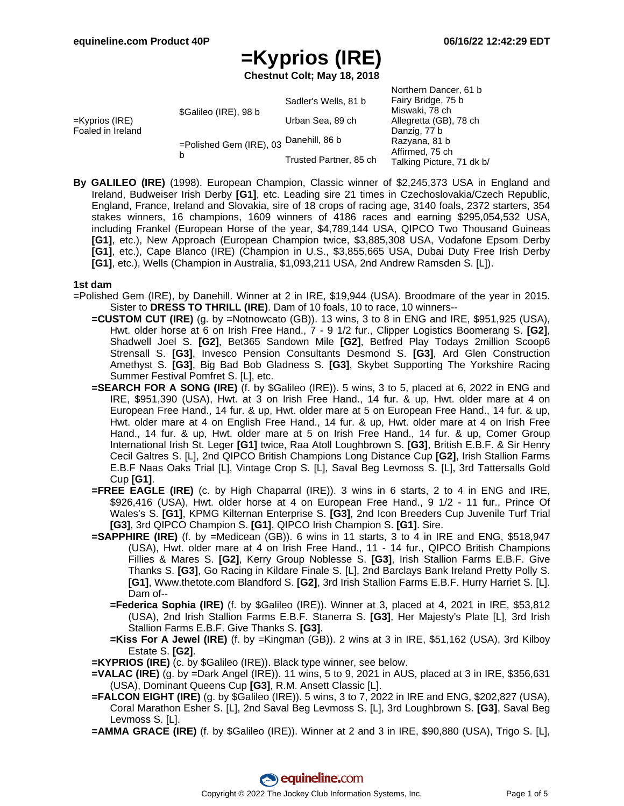Northern Dancer, 61 b

# **=Kyprios (IRE)**

**Chestnut Colt; May 18, 2018**

| =Kyprios (IRE).<br>Foaled in Ireland | \$Galileo (IRE), 98 b                       | Sadler's Wells, 81 b   | Fairy Bridge, 75 b        |
|--------------------------------------|---------------------------------------------|------------------------|---------------------------|
|                                      |                                             |                        | Miswaki, 78 ch            |
|                                      |                                             | Urban Sea, 89 ch       | Allegretta (GB), 78 ch    |
|                                      | =Polished Gem (IRE), 03 Danehill, 86 b<br>b |                        | Danzig, 77 b              |
|                                      |                                             |                        | Razyana, 81 b             |
|                                      |                                             | Trusted Partner, 85 ch | Affirmed, 75 ch           |
|                                      |                                             |                        | Talking Picture, 71 dk b/ |
|                                      |                                             |                        |                           |

**By GALILEO (IRE)** (1998). European Champion, Classic winner of \$2,245,373 USA in England and Ireland, Budweiser Irish Derby **[G1]**, etc. Leading sire 21 times in Czechoslovakia/Czech Republic, England, France, Ireland and Slovakia, sire of 18 crops of racing age, 3140 foals, 2372 starters, 354 stakes winners, 16 champions, 1609 winners of 4186 races and earning \$295,054,532 USA, including Frankel (European Horse of the year, \$4,789,144 USA, QIPCO Two Thousand Guineas **[G1]**, etc.), New Approach (European Champion twice, \$3,885,308 USA, Vodafone Epsom Derby **[G1]**, etc.), Cape Blanco (IRE) (Champion in U.S., \$3,855,665 USA, Dubai Duty Free Irish Derby **[G1]**, etc.), Wells (Champion in Australia, \$1,093,211 USA, 2nd Andrew Ramsden S. [L]).

#### **1st dam**

- =Polished Gem (IRE), by Danehill. Winner at 2 in IRE, \$19,944 (USA). Broodmare of the year in 2015. Sister to **DRESS TO THRILL (IRE)**. Dam of 10 foals, 10 to race, 10 winners--
	- **=CUSTOM CUT (IRE)** (g. by =Notnowcato (GB)). 13 wins, 3 to 8 in ENG and IRE, \$951,925 (USA), Hwt. older horse at 6 on Irish Free Hand., 7 - 9 1/2 fur., Clipper Logistics Boomerang S. **[G2]**, Shadwell Joel S. **[G2]**, Bet365 Sandown Mile **[G2]**, Betfred Play Todays 2million Scoop6 Strensall S. **[G3]**, Invesco Pension Consultants Desmond S. **[G3]**, Ard Glen Construction Amethyst S. **[G3]**, Big Bad Bob Gladness S. **[G3]**, Skybet Supporting The Yorkshire Racing Summer Festival Pomfret S. [L], etc.
	- **=SEARCH FOR A SONG (IRE)** (f. by \$Galileo (IRE)). 5 wins, 3 to 5, placed at 6, 2022 in ENG and IRE, \$951,390 (USA), Hwt. at 3 on Irish Free Hand., 14 fur. & up, Hwt. older mare at 4 on European Free Hand., 14 fur. & up, Hwt. older mare at 5 on European Free Hand., 14 fur. & up, Hwt. older mare at 4 on English Free Hand., 14 fur. & up, Hwt. older mare at 4 on Irish Free Hand., 14 fur. & up, Hwt. older mare at 5 on Irish Free Hand., 14 fur. & up, Comer Group International Irish St. Leger **[G1]** twice, Raa Atoll Loughbrown S. **[G3]**, British E.B.F. & Sir Henry Cecil Galtres S. [L], 2nd QIPCO British Champions Long Distance Cup **[G2]**, Irish Stallion Farms E.B.F Naas Oaks Trial [L], Vintage Crop S. [L], Saval Beg Levmoss S. [L], 3rd Tattersalls Gold Cup **[G1]**.
	- **=FREE EAGLE (IRE)** (c. by High Chaparral (IRE)). 3 wins in 6 starts, 2 to 4 in ENG and IRE, \$926,416 (USA), Hwt. older horse at 4 on European Free Hand., 9 1/2 - 11 fur., Prince Of Wales's S. **[G1]**, KPMG Kilternan Enterprise S. **[G3]**, 2nd Icon Breeders Cup Juvenile Turf Trial **[G3]**, 3rd QIPCO Champion S. **[G1]**, QIPCO Irish Champion S. **[G1]**. Sire.
	- **=SAPPHIRE (IRE)** (f. by =Medicean (GB)). 6 wins in 11 starts, 3 to 4 in IRE and ENG, \$518,947 (USA), Hwt. older mare at 4 on Irish Free Hand., 11 - 14 fur., QIPCO British Champions Fillies & Mares S. **[G2]**, Kerry Group Noblesse S. **[G3]**, Irish Stallion Farms E.B.F. Give Thanks S. **[G3]**, Go Racing in Kildare Finale S. [L], 2nd Barclays Bank Ireland Pretty Polly S. **[G1]**, Www.thetote.com Blandford S. **[G2]**, 3rd Irish Stallion Farms E.B.F. Hurry Harriet S. [L]. Dam of--
		- **=Federica Sophia (IRE)** (f. by \$Galileo (IRE)). Winner at 3, placed at 4, 2021 in IRE, \$53,812 (USA), 2nd Irish Stallion Farms E.B.F. Stanerra S. **[G3]**, Her Majesty's Plate [L], 3rd Irish Stallion Farms E.B.F. Give Thanks S. **[G3]**.
		- **=Kiss For A Jewel (IRE)** (f. by =Kingman (GB)). 2 wins at 3 in IRE, \$51,162 (USA), 3rd Kilboy Estate S. **[G2]**.
	- **=KYPRIOS (IRE)** (c. by \$Galileo (IRE)). Black type winner, see below.
	- **=VALAC (IRE)** (g. by =Dark Angel (IRE)). 11 wins, 5 to 9, 2021 in AUS, placed at 3 in IRE, \$356,631 (USA), Dominant Queens Cup **[G3]**, R.M. Ansett Classic [L].
	- **=FALCON EIGHT (IRE)** (g. by \$Galileo (IRE)). 5 wins, 3 to 7, 2022 in IRE and ENG, \$202,827 (USA), Coral Marathon Esher S. [L], 2nd Saval Beg Levmoss S. [L], 3rd Loughbrown S. **[G3]**, Saval Beg Levmoss S. [L].
	- **=AMMA GRACE (IRE)** (f. by \$Galileo (IRE)). Winner at 2 and 3 in IRE, \$90,880 (USA), Trigo S. [L],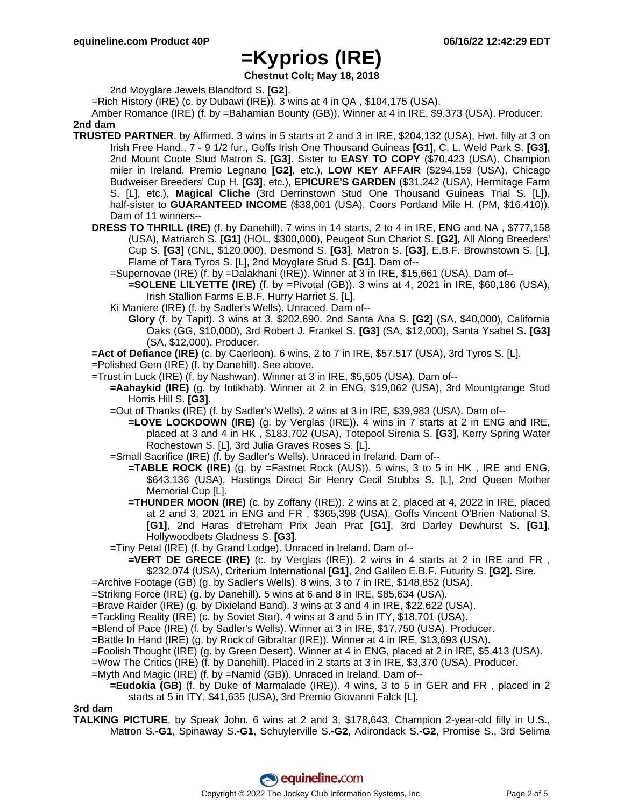**Chestnut Colt; May 18, 2018**

2nd Moyglare Jewels Blandford S. **[G2]**.

=Rich History (IRE) (c. by Dubawi (IRE)). 3 wins at 4 in QA , \$104,175 (USA).

Amber Romance (IRE) (f. by =Bahamian Bounty (GB)). Winner at 4 in IRE, \$9,373 (USA). Producer. **2nd dam**

- **TRUSTED PARTNER**, by Affirmed. 3 wins in 5 starts at 2 and 3 in IRE, \$204,132 (USA), Hwt. filly at 3 on Irish Free Hand., 7 - 9 1/2 fur., Goffs Irish One Thousand Guineas **[G1]**, C. L. Weld Park S. **[G3]**, 2nd Mount Coote Stud Matron S. **[G3]**. Sister to **EASY TO COPY** (\$70,423 (USA), Champion miler in Ireland, Premio Legnano **[G2]**, etc.), **LOW KEY AFFAIR** (\$294,159 (USA), Chicago Budweiser Breeders' Cup H. **[G3]**, etc.), **EPICURE'S GARDEN** (\$31,242 (USA), Hermitage Farm S. [L], etc.), **Magical Cliche** (3rd Derrinstown Stud One Thousand Guineas Trial S. [L]), half-sister to **GUARANTEED INCOME** (\$38,001 (USA), Coors Portland Mile H. (PM, \$16,410)). Dam of 11 winners--
	- **DRESS TO THRILL (IRE)** (f. by Danehill). 7 wins in 14 starts, 2 to 4 in IRE, ENG and NA , \$777,158 (USA), Matriarch S. **[G1]** (HOL, \$300,000), Peugeot Sun Chariot S. **[G2]**, All Along Breeders' Cup S. **[G3]** (CNL, \$120,000), Desmond S. **[G3]**, Matron S. **[G3]**, E.B.F. Brownstown S. [L], Flame of Tara Tyros S. [L], 2nd Moyglare Stud S. **[G1]**. Dam of--
		- =Supernovae (IRE) (f. by =Dalakhani (IRE)). Winner at 3 in IRE, \$15,661 (USA). Dam of--
			- **=SOLENE LILYETTE (IRE)** (f. by =Pivotal (GB)). 3 wins at 4, 2021 in IRE, \$60,186 (USA), Irish Stallion Farms E.B.F. Hurry Harriet S. [L].
		- Ki Maniere (IRE) (f. by Sadler's Wells). Unraced. Dam of--
			- **Glory** (f. by Tapit). 3 wins at 3, \$202,690, 2nd Santa Ana S. **[G2]** (SA, \$40,000), California Oaks (GG, \$10,000), 3rd Robert J. Frankel S. **[G3]** (SA, \$12,000), Santa Ysabel S. **[G3]** (SA, \$12,000). Producer.

**=Act of Defiance (IRE)** (c. by Caerleon). 6 wins, 2 to 7 in IRE, \$57,517 (USA), 3rd Tyros S. [L].

- =Polished Gem (IRE) (f. by Danehill). See above.
- =Trust in Luck (IRE) (f. by Nashwan). Winner at 3 in IRE, \$5,505 (USA). Dam of--
	- **=Aahaykid (IRE)** (g. by Intikhab). Winner at 2 in ENG, \$19,062 (USA), 3rd Mountgrange Stud Horris Hill S. **[G3]**.
	- =Out of Thanks (IRE) (f. by Sadler's Wells). 2 wins at 3 in IRE, \$39,983 (USA). Dam of--
		- **=LOVE LOCKDOWN (IRE)** (g. by Verglas (IRE)). 4 wins in 7 starts at 2 in ENG and IRE, placed at 3 and 4 in HK , \$183,702 (USA), Totepool Sirenia S. **[G3]**, Kerry Spring Water Rochestown S. [L], 3rd Julia Graves Roses S. [L].
	- =Small Sacrifice (IRE) (f. by Sadler's Wells). Unraced in Ireland. Dam of--
		- **=TABLE ROCK (IRE)** (g. by =Fastnet Rock (AUS)). 5 wins, 3 to 5 in HK , IRE and ENG, \$643,136 (USA), Hastings Direct Sir Henry Cecil Stubbs S. [L], 2nd Queen Mother Memorial Cup [L].
		- **=THUNDER MOON (IRE)** (c. by Zoffany (IRE)). 2 wins at 2, placed at 4, 2022 in IRE, placed at 2 and 3, 2021 in ENG and FR , \$365,398 (USA), Goffs Vincent O'Brien National S. **[G1]**, 2nd Haras d'Etreham Prix Jean Prat **[G1]**, 3rd Darley Dewhurst S. **[G1]**, Hollywoodbets Gladness S. **[G3]**.
	- =Tiny Petal (IRE) (f. by Grand Lodge). Unraced in Ireland. Dam of--
	- **=VERT DE GRECE (IRE)** (c. by Verglas (IRE)). 2 wins in 4 starts at 2 in IRE and FR , \$232,074 (USA), Criterium International **[G1]**, 2nd Galileo E.B.F. Futurity S. **[G2]**. Sire.
- =Archive Footage (GB) (g. by Sadler's Wells). 8 wins, 3 to 7 in IRE, \$148,852 (USA).
- =Striking Force (IRE) (g. by Danehill). 5 wins at 6 and 8 in IRE, \$85,634 (USA).
- =Brave Raider (IRE) (g. by Dixieland Band). 3 wins at 3 and 4 in IRE, \$22,622 (USA).
- =Tackling Reality (IRE) (c. by Soviet Star). 4 wins at 3 and 5 in ITY, \$18,701 (USA).
- =Blend of Pace (IRE) (f. by Sadler's Wells). Winner at 3 in IRE, \$17,750 (USA). Producer.
- =Battle In Hand (IRE) (g. by Rock of Gibraltar (IRE)). Winner at 4 in IRE, \$13,693 (USA).
- =Foolish Thought (IRE) (g. by Green Desert). Winner at 4 in ENG, placed at 2 in IRE, \$5,413 (USA).
- =Wow The Critics (IRE) (f. by Danehill). Placed in 2 starts at 3 in IRE, \$3,370 (USA). Producer.
- =Myth And Magic (IRE) (f. by =Namid (GB)). Unraced in Ireland. Dam of--
	- **=Eudokia (GB)** (f. by Duke of Marmalade (IRE)). 4 wins, 3 to 5 in GER and FR , placed in 2 starts at 5 in ITY, \$41,635 (USA), 3rd Premio Giovanni Falck [L].

#### **3rd dam**

**TALKING PICTURE**, by Speak John. 6 wins at 2 and 3, \$178,643, Champion 2-year-old filly in U.S., Matron S.**-G1**, Spinaway S.**-G1**, Schuylerville S.**-G2**, Adirondack S.**-G2**, Promise S., 3rd Selima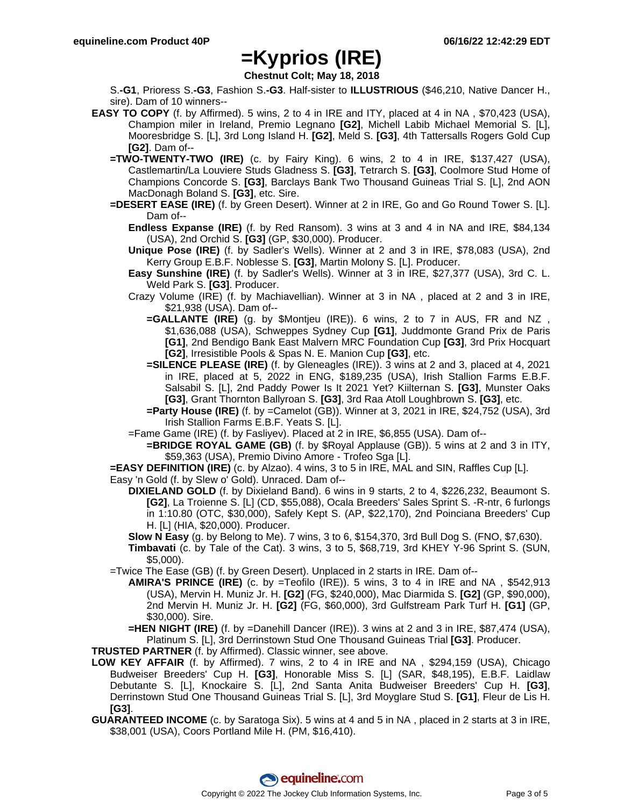**Chestnut Colt; May 18, 2018**

S.**-G1**, Prioress S.**-G3**, Fashion S.**-G3**. Half-sister to **ILLUSTRIOUS** (\$46,210, Native Dancer H., sire). Dam of 10 winners--

- **EASY TO COPY** (f. by Affirmed). 5 wins, 2 to 4 in IRE and ITY, placed at 4 in NA , \$70,423 (USA), Champion miler in Ireland, Premio Legnano **[G2]**, Michell Labib Michael Memorial S. [L], Mooresbridge S. [L], 3rd Long Island H. **[G2]**, Meld S. **[G3]**, 4th Tattersalls Rogers Gold Cup **[G2]**. Dam of--
	- **=TWO-TWENTY-TWO (IRE)** (c. by Fairy King). 6 wins, 2 to 4 in IRE, \$137,427 (USA), Castlemartin/La Louviere Studs Gladness S. **[G3]**, Tetrarch S. **[G3]**, Coolmore Stud Home of Champions Concorde S. **[G3]**, Barclays Bank Two Thousand Guineas Trial S. [L], 2nd AON MacDonagh Boland S. **[G3]**, etc. Sire.
	- **=DESERT EASE (IRE)** (f. by Green Desert). Winner at 2 in IRE, Go and Go Round Tower S. [L]. Dam of--
		- **Endless Expanse (IRE)** (f. by Red Ransom). 3 wins at 3 and 4 in NA and IRE, \$84,134 (USA), 2nd Orchid S. **[G3]** (GP, \$30,000). Producer.
		- **Unique Pose (IRE)** (f. by Sadler's Wells). Winner at 2 and 3 in IRE, \$78,083 (USA), 2nd Kerry Group E.B.F. Noblesse S. **[G3]**, Martin Molony S. [L]. Producer.
		- **Easy Sunshine (IRE)** (f. by Sadler's Wells). Winner at 3 in IRE, \$27,377 (USA), 3rd C. L. Weld Park S. **[G3]**. Producer.
		- Crazy Volume (IRE) (f. by Machiavellian). Winner at 3 in NA , placed at 2 and 3 in IRE, \$21,938 (USA). Dam of--
			- **=GALLANTE (IRE)** (g. by \$Montjeu (IRE)). 6 wins, 2 to 7 in AUS, FR and NZ , \$1,636,088 (USA), Schweppes Sydney Cup **[G1]**, Juddmonte Grand Prix de Paris **[G1]**, 2nd Bendigo Bank East Malvern MRC Foundation Cup **[G3]**, 3rd Prix Hocquart **[G2]**, Irresistible Pools & Spas N. E. Manion Cup **[G3]**, etc.
			- **=SILENCE PLEASE (IRE)** (f. by Gleneagles (IRE)). 3 wins at 2 and 3, placed at 4, 2021 in IRE, placed at 5, 2022 in ENG, \$189,235 (USA), Irish Stallion Farms E.B.F. Salsabil S. [L], 2nd Paddy Power Is It 2021 Yet? Kiilternan S. **[G3]**, Munster Oaks **[G3]**, Grant Thornton Ballyroan S. **[G3]**, 3rd Raa Atoll Loughbrown S. **[G3]**, etc.
			- **=Party House (IRE)** (f. by =Camelot (GB)). Winner at 3, 2021 in IRE, \$24,752 (USA), 3rd Irish Stallion Farms E.B.F. Yeats S. [L].
		- =Fame Game (IRE) (f. by Fasliyev). Placed at 2 in IRE, \$6,855 (USA). Dam of--
			- **=BRIDGE ROYAL GAME (GB)** (f. by \$Royal Applause (GB)). 5 wins at 2 and 3 in ITY, \$59,363 (USA), Premio Divino Amore - Trofeo Sga [L].
	- **=EASY DEFINITION (IRE)** (c. by Alzao). 4 wins, 3 to 5 in IRE, MAL and SIN, Raffles Cup [L].
	- Easy 'n Gold (f. by Slew o' Gold). Unraced. Dam of--
		- **DIXIELAND GOLD** (f. by Dixieland Band). 6 wins in 9 starts, 2 to 4, \$226,232, Beaumont S. **[G2]**, La Troienne S. [L] (CD, \$55,088), Ocala Breeders' Sales Sprint S. -R-ntr, 6 furlongs in 1:10.80 (OTC, \$30,000), Safely Kept S. (AP, \$22,170), 2nd Poinciana Breeders' Cup H. [L] (HIA, \$20,000). Producer.

**Slow N Easy** (g. by Belong to Me). 7 wins, 3 to 6, \$154,370, 3rd Bull Dog S. (FNO, \$7,630).

- **Timbavati** (c. by Tale of the Cat). 3 wins, 3 to 5, \$68,719, 3rd KHEY Y-96 Sprint S. (SUN, \$5,000).
- =Twice The Ease (GB) (f. by Green Desert). Unplaced in 2 starts in IRE. Dam of--
	- **AMIRA'S PRINCE (IRE)** (c. by =Teofilo (IRE)). 5 wins, 3 to 4 in IRE and NA , \$542,913 (USA), Mervin H. Muniz Jr. H. **[G2]** (FG, \$240,000), Mac Diarmida S. **[G2]** (GP, \$90,000), 2nd Mervin H. Muniz Jr. H. **[G2]** (FG, \$60,000), 3rd Gulfstream Park Turf H. **[G1]** (GP, \$30,000). Sire.

**=HEN NIGHT (IRE)** (f. by =Danehill Dancer (IRE)). 3 wins at 2 and 3 in IRE, \$87,474 (USA), Platinum S. [L], 3rd Derrinstown Stud One Thousand Guineas Trial **[G3]**. Producer.

**TRUSTED PARTNER** (f. by Affirmed). Classic winner, see above.

- **LOW KEY AFFAIR** (f. by Affirmed). 7 wins, 2 to 4 in IRE and NA , \$294,159 (USA), Chicago Budweiser Breeders' Cup H. **[G3]**, Honorable Miss S. [L] (SAR, \$48,195), E.B.F. Laidlaw Debutante S. [L], Knockaire S. [L], 2nd Santa Anita Budweiser Breeders' Cup H. **[G3]**, Derrinstown Stud One Thousand Guineas Trial S. [L], 3rd Moyglare Stud S. **[G1]**, Fleur de Lis H. **[G3]**.
- **GUARANTEED INCOME** (c. by Saratoga Six). 5 wins at 4 and 5 in NA , placed in 2 starts at 3 in IRE, \$38,001 (USA), Coors Portland Mile H. (PM, \$16,410).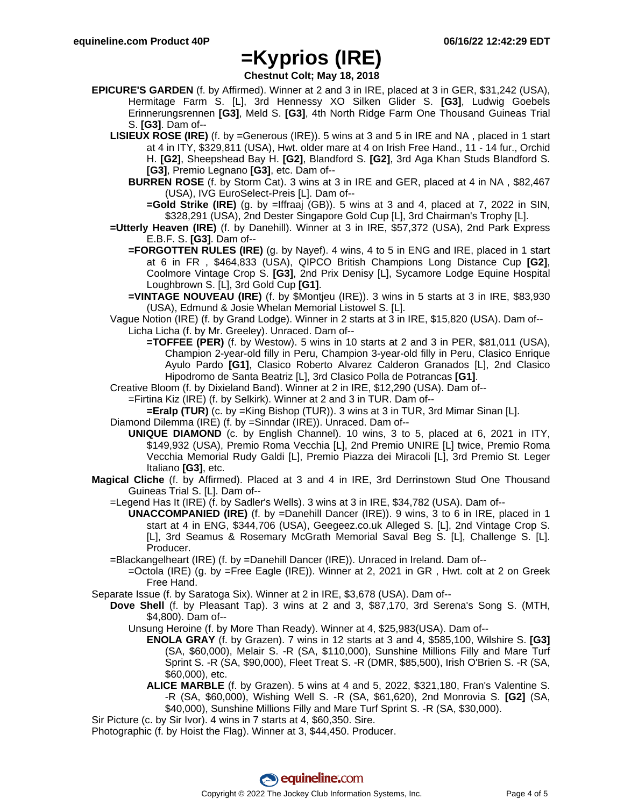**Chestnut Colt; May 18, 2018**

- **EPICURE'S GARDEN** (f. by Affirmed). Winner at 2 and 3 in IRE, placed at 3 in GER, \$31,242 (USA), Hermitage Farm S. [L], 3rd Hennessy XO Silken Glider S. **[G3]**, Ludwig Goebels Erinnerungsrennen **[G3]**, Meld S. **[G3]**, 4th North Ridge Farm One Thousand Guineas Trial S. **[G3]**. Dam of--
	- **LISIEUX ROSE (IRE)** (f. by =Generous (IRE)). 5 wins at 3 and 5 in IRE and NA , placed in 1 start at 4 in ITY, \$329,811 (USA), Hwt. older mare at 4 on Irish Free Hand., 11 - 14 fur., Orchid H. **[G2]**, Sheepshead Bay H. **[G2]**, Blandford S. **[G2]**, 3rd Aga Khan Studs Blandford S. **[G3]**, Premio Legnano **[G3]**, etc. Dam of--
		- **BURREN ROSE** (f. by Storm Cat). 3 wins at 3 in IRE and GER, placed at 4 in NA , \$82,467 (USA), IVG EuroSelect-Preis [L]. Dam of--
			- **=Gold Strike (IRE)** (g. by =Iffraaj (GB)). 5 wins at 3 and 4, placed at 7, 2022 in SIN, \$328,291 (USA), 2nd Dester Singapore Gold Cup [L], 3rd Chairman's Trophy [L].
	- **=Utterly Heaven (IRE)** (f. by Danehill). Winner at 3 in IRE, \$57,372 (USA), 2nd Park Express E.B.F. S. **[G3]**. Dam of--
		- **=FORGOTTEN RULES (IRE)** (g. by Nayef). 4 wins, 4 to 5 in ENG and IRE, placed in 1 start at 6 in FR , \$464,833 (USA), QIPCO British Champions Long Distance Cup **[G2]**, Coolmore Vintage Crop S. **[G3]**, 2nd Prix Denisy [L], Sycamore Lodge Equine Hospital Loughbrown S. [L], 3rd Gold Cup **[G1]**.
		- **=VINTAGE NOUVEAU (IRE)** (f. by \$Montjeu (IRE)). 3 wins in 5 starts at 3 in IRE, \$83,930 (USA), Edmund & Josie Whelan Memorial Listowel S. [L].
	- Vague Notion (IRE) (f. by Grand Lodge). Winner in 2 starts at 3 in IRE, \$15,820 (USA). Dam of-- Licha Licha (f. by Mr. Greeley). Unraced. Dam of--
		- **=TOFFEE (PER)** (f. by Westow). 5 wins in 10 starts at 2 and 3 in PER, \$81,011 (USA), Champion 2-year-old filly in Peru, Champion 3-year-old filly in Peru, Clasico Enrique Ayulo Pardo **[G1]**, Clasico Roberto Alvarez Calderon Granados [L], 2nd Clasico Hipodromo de Santa Beatriz [L], 3rd Clasico Polla de Potrancas **[G1]**.
	- Creative Bloom (f. by Dixieland Band). Winner at 2 in IRE, \$12,290 (USA). Dam of--
		- =Firtina Kiz (IRE) (f. by Selkirk). Winner at 2 and 3 in TUR. Dam of--
			- **=Eralp (TUR)** (c. by =King Bishop (TUR)). 3 wins at 3 in TUR, 3rd Mimar Sinan [L].
	- Diamond Dilemma (IRE) (f. by =Sinndar (IRE)). Unraced. Dam of--
		- **UNIQUE DIAMOND** (c. by English Channel). 10 wins, 3 to 5, placed at 6, 2021 in ITY, \$149,932 (USA), Premio Roma Vecchia [L], 2nd Premio UNIRE [L] twice, Premio Roma Vecchia Memorial Rudy Galdi [L], Premio Piazza dei Miracoli [L], 3rd Premio St. Leger Italiano **[G3]**, etc.
- **Magical Cliche** (f. by Affirmed). Placed at 3 and 4 in IRE, 3rd Derrinstown Stud One Thousand Guineas Trial S. [L]. Dam of--
	- =Legend Has It (IRE) (f. by Sadler's Wells). 3 wins at 3 in IRE, \$34,782 (USA). Dam of--
		- **UNACCOMPANIED (IRE)** (f. by =Danehill Dancer (IRE)). 9 wins, 3 to 6 in IRE, placed in 1 start at 4 in ENG, \$344,706 (USA), Geegeez.co.uk Alleged S. [L], 2nd Vintage Crop S. [L], 3rd Seamus & Rosemary McGrath Memorial Saval Beg S. [L], Challenge S. [L]. Producer.
	- =Blackangelheart (IRE) (f. by =Danehill Dancer (IRE)). Unraced in Ireland. Dam of--
		- =Octola (IRE) (g. by =Free Eagle (IRE)). Winner at 2, 2021 in GR , Hwt. colt at 2 on Greek Free Hand.
- Separate Issue (f. by Saratoga Six). Winner at 2 in IRE, \$3,678 (USA). Dam of--
	- **Dove Shell** (f. by Pleasant Tap). 3 wins at 2 and 3, \$87,170, 3rd Serena's Song S. (MTH, \$4,800). Dam of--
		- Unsung Heroine (f. by More Than Ready). Winner at 4, \$25,983(USA). Dam of--
			- **ENOLA GRAY** (f. by Grazen). 7 wins in 12 starts at 3 and 4, \$585,100, Wilshire S. **[G3]** (SA, \$60,000), Melair S. -R (SA, \$110,000), Sunshine Millions Filly and Mare Turf Sprint S. -R (SA, \$90,000), Fleet Treat S. -R (DMR, \$85,500), Irish O'Brien S. -R (SA, \$60,000), etc.
			- **ALICE MARBLE** (f. by Grazen). 5 wins at 4 and 5, 2022, \$321,180, Fran's Valentine S. -R (SA, \$60,000), Wishing Well S. -R (SA, \$61,620), 2nd Monrovia S. **[G2]** (SA, \$40,000), Sunshine Millions Filly and Mare Turf Sprint S. -R (SA, \$30,000).
- Sir Picture (c. by Sir Ivor). 4 wins in 7 starts at 4, \$60,350. Sire.

Photographic (f. by Hoist the Flag). Winner at 3, \$44,450. Producer.